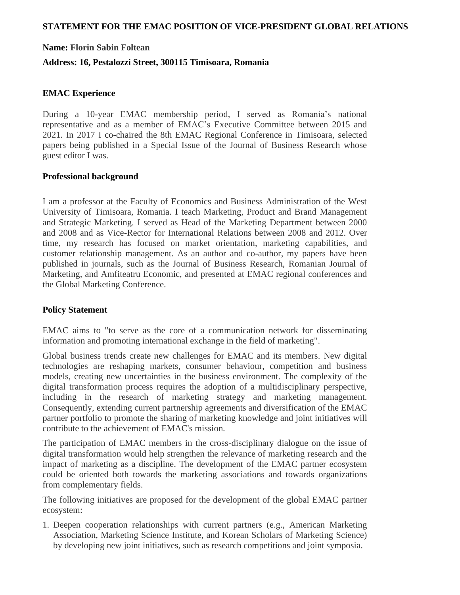# **STATEMENT FOR THE EMAC POSITION OF VICE-PRESIDENT GLOBAL RELATIONS**

## **Name: Florin Sabin Foltean**

## **Address: 16, Pestalozzi Street, 300115 Timisoara, Romania**

# **EMAC Experience**

During a 10-year EMAC membership period, I served as Romania's national representative and as a member of EMAC's Executive Committee between 2015 and 2021. In 2017 I co-chaired the 8th EMAC Regional Conference in Timisoara, selected papers being published in a Special Issue of the Journal of Business Research whose guest editor I was.

### **Professional background**

I am a professor at the Faculty of Economics and Business Administration of the West University of Timisoara, Romania. I teach Marketing, Product and Brand Management and Strategic Marketing. I served as Head of the Marketing Department between 2000 and 2008 and as Vice-Rector for International Relations between 2008 and 2012. Over time, my research has focused on market orientation, marketing capabilities, and customer relationship management. As an author and co-author, my papers have been published in journals, such as the Journal of Business Research, Romanian Journal of Marketing, and Amfiteatru Economic, and presented at EMAC regional conferences and the Global Marketing Conference.

#### **Policy Statement**

EMAC aims to "to serve as the core of a communication network for disseminating information and promoting international exchange in the field of marketing".

Global business trends create new challenges for EMAC and its members. New digital technologies are reshaping markets, consumer behaviour, competition and business models, creating new uncertainties in the business environment. The complexity of the digital transformation process requires the adoption of a multidisciplinary perspective, including in the research of marketing strategy and marketing management. Consequently, extending current partnership agreements and diversification of the EMAC partner portfolio to promote the sharing of marketing knowledge and joint initiatives will contribute to the achievement of EMAC's mission.

The participation of EMAC members in the cross-disciplinary dialogue on the issue of digital transformation would help strengthen the relevance of marketing research and the impact of marketing as a discipline. The development of the EMAC partner ecosystem could be oriented both towards the marketing associations and towards organizations from complementary fields.

The following initiatives are proposed for the development of the global EMAC partner ecosystem:

1. Deepen cooperation relationships with current partners (e.g., American Marketing Association, Marketing Science Institute, and Korean Scholars of Marketing Science) by developing new joint initiatives, such as research competitions and joint symposia.